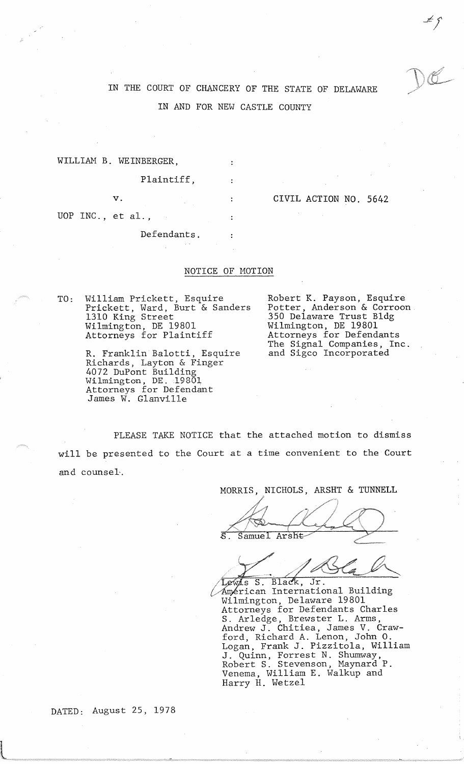$f$ <br> $\mathcal{L}$ 

## IN THE COURT OF CHANCERY OF THE STATE OF DELAWARE IN AND FOR NEW CASTLE COUNTY

WILLIAM B. WEINBERGER,

Plaintiff,

UOP INC., et al.,

v. CIVIL ACTION NO. 5642

Defendants.

## NOTICE OF MOTION

 $\mathcal{L}$ 

TO: William Prickett, Esquire Prickett, Ward, Burt & Sanders 1310 King Street Wilmington, DE 19801 Attorneys for Plaintiff

> R. Franklin Balotti, Esquire Richards, Layton & Finger 4072 DuPont Building Wilmington, DE. 19801 Attorneys for Defendant James W. Glanville

Robert K. Payson, Esquire Potter, Anderson & Corroon 350 Delaware Trust Bldg Wilmington, DE 19801 Attorneys for Defendants The Signal Companies, Inc. and Sigco Incorporated

PLEASE TAKE NOTICE that the attached motion to dismiss will be presented to the Court at a time convenient to the Court and counsel-.

MORRIS, NICHOLS, ARSHT & TUNNELL

Samuel Arsht-

Lewis S. Black, Jr. Américan International Building Wilmington, Delaware 19801 Attorneys for Defendants Charles S. Arledge, Brewster L. Arms, Andrew J. Chitiea, James V. Crawford, Richard A. Lenon, John 0. Logan, Frank J. Pizzitola, William J. Quinn, Forrest N. Shumway, Robert S. Stevenson, Maynard P. Venema, William E. Walkup and Harry H. Wetzel

DATED: August 25, 1978